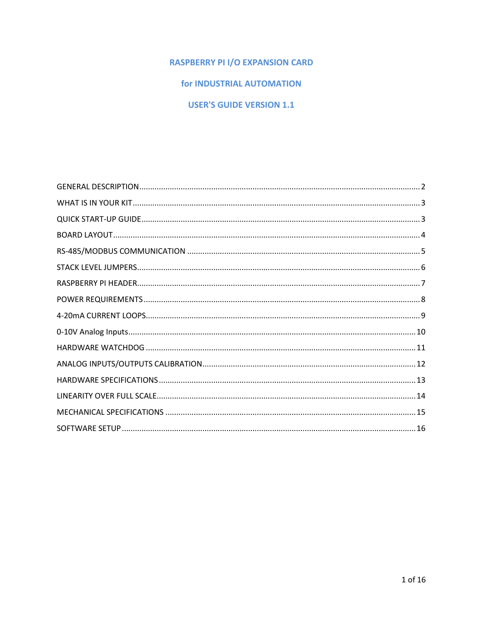## **RASPBERRY PI I/O EXPANSION CARD**

## for INDUSTRIAL AUTOMATION

## **USER'S GUIDE VERSION 1.1**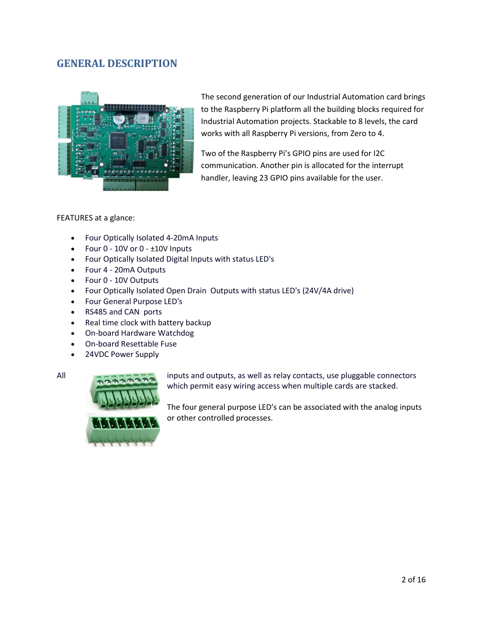## **GENERAL DESCRIPTION**



The second generation of our Industrial Automation card brings to the Raspberry Pi platform all the building blocks required for Industrial Automation projects. Stackable to 8 levels, the card works with all Raspberry Pi versions, from Zero to 4.

Two of the Raspberry Pi's GPIO pins are used for I2C communication. Another pin is allocated for the interrupt handler, leaving 23 GPIO pins available for the user.

#### FEATURES at a glance:

- Four Optically Isolated 4-20mA Inputs
- $\bullet$  Four 0 10V or 0  $\pm$ 10V Inputs
- Four Optically Isolated Digital Inputs with status LED's
- Four 4 20mA Outputs
- Four 0 10V Outputs
- Four Optically Isolated Open Drain Outputs with status LED's (24V/4A drive)
- Four General Purpose LED's
- RS485 and CAN ports
- Real time clock with battery backup
- On-board Hardware Watchdog
- On-board Resettable Fuse
- 24VDC Power Supply



All interest and outputs, as well as relay contacts, use pluggable connectors which permit easy wiring access when multiple cards are stacked.

> The four general purpose LED's can be associated with the analog inputs or other controlled processes.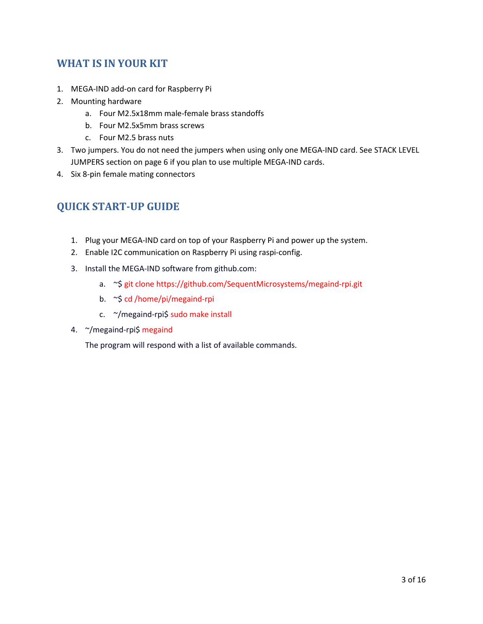# **WHAT IS IN YOUR KIT**

- 1. MEGA-IND add-on card for Raspberry Pi
- 2. Mounting hardware
	- a. Four M2.5x18mm male-female brass standoffs
	- b. Four M2.5x5mm brass screws
	- c. Four M2.5 brass nuts
- 3. Two jumpers. You do not need the jumpers when using only one MEGA-IND card. See STACK LEVEL JUMPERS section on page 6 if you plan to use multiple MEGA-IND cards.
- 4. Six 8-pin female mating connectors

# **QUICK START-UP GUIDE**

- 1. Plug your MEGA-IND card on top of your Raspberry Pi and power up the system.
- 2. Enable I2C communication on Raspberry Pi using raspi-config.
- 3. Install the MEGA-IND software from github.com:
	- a. ~\$ git clone https://github.com/SequentMicrosystems/megaind-rpi.git
	- b. ~\$ cd /home/pi/megaind-rpi
	- c. ~/megaind-rpi\$ sudo make install
- 4. ~/megaind-rpi\$ megaind

The program will respond with a list of available commands.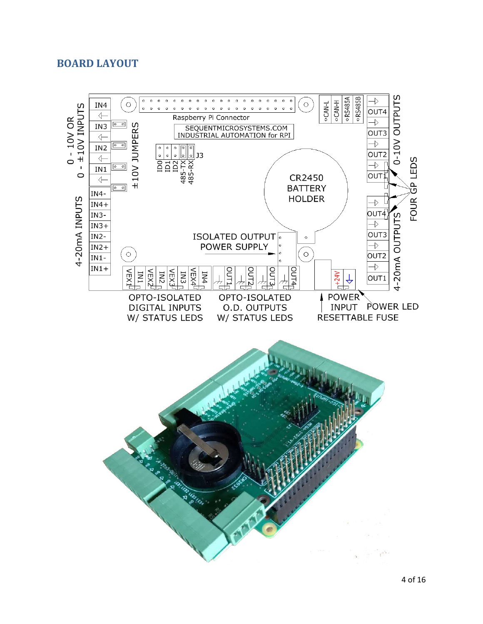## **BOARD LAYOUT**

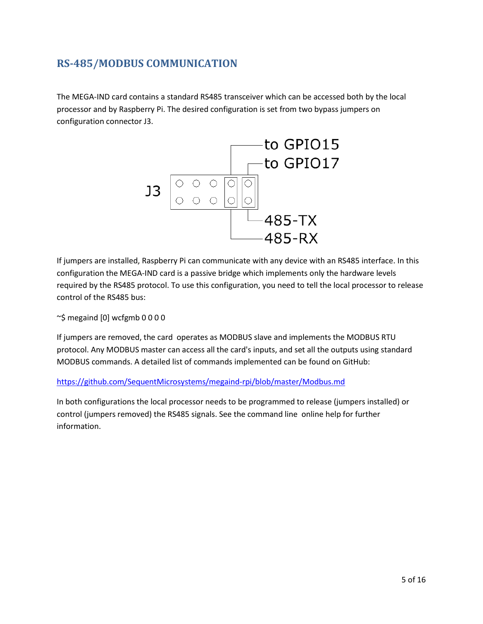# **RS-485/MODBUS COMMUNICATION**

The MEGA-IND card contains a standard RS485 transceiver which can be accessed both by the local processor and by Raspberry Pi. The desired configuration is set from two bypass jumpers on configuration connector J3.



If jumpers are installed, Raspberry Pi can communicate with any device with an RS485 interface. In this configuration the MEGA-IND card is a passive bridge which implements only the hardware levels required by the RS485 protocol. To use this configuration, you need to tell the local processor to release control of the RS485 bus:

~\$ megaind [0] wcfgmb 0 0 0 0

If jumpers are removed, the card operates as MODBUS slave and implements the MODBUS RTU protocol. Any MODBUS master can access all the card's inputs, and set all the outputs using standard MODBUS commands. A detailed list of commands implemented can be found on GitHub:

https://github.com/SequentMicrosystems/megaind-rpi/blob/master/Modbus.md

In both configurations the local processor needs to be programmed to release (jumpers installed) or control (jumpers removed) the RS485 signals. See the command line online help for further information.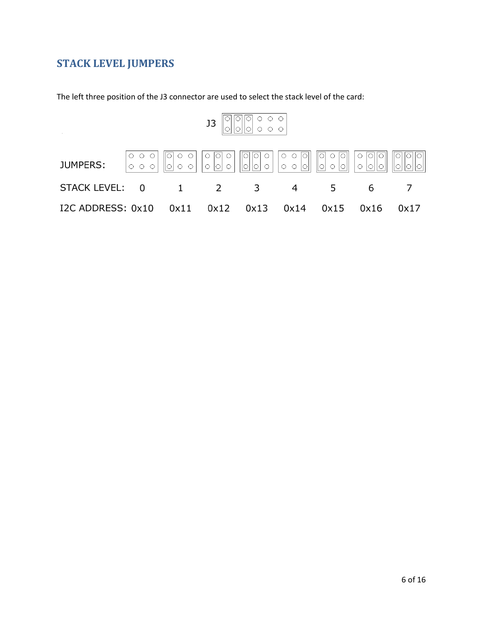# **STACK LEVEL JUMPERS**

The left three position of the J3 connector are used to select the stack level of the card:

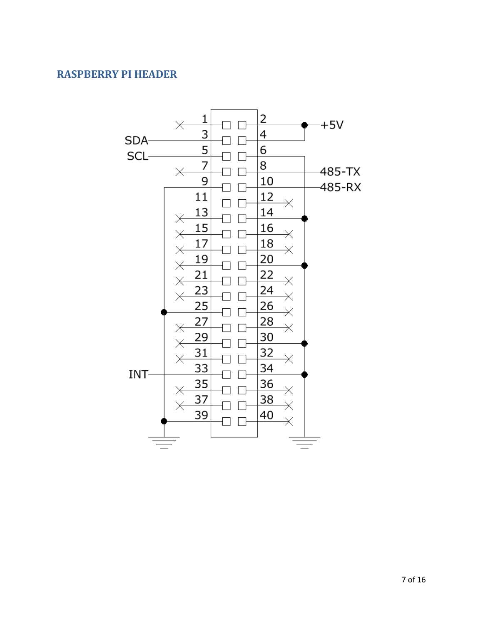## **RASPBERRY PI HEADER**

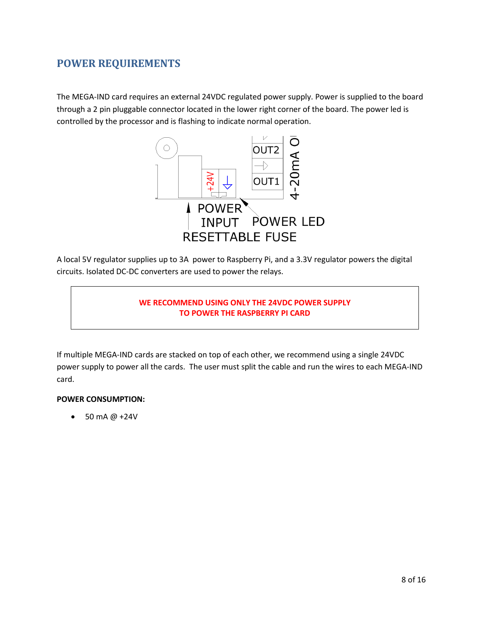## **POWER REQUIREMENTS**

The MEGA-IND card requires an external 24VDC regulated power supply. Power is supplied to the board through a 2 pin pluggable connector located in the lower right corner of the board. The power led is controlled by the processor and is flashing to indicate normal operation.



A local 5V regulator supplies up to 3A power to Raspberry Pi, and a 3.3V regulator powers the digital circuits. Isolated DC-DC converters are used to power the relays.

### **WE RECOMMEND USING ONLY THE 24VDC POWER SUPPLY TO POWER THE RASPBERRY PI CARD**

If multiple MEGA-IND cards are stacked on top of each other, we recommend using a single 24VDC power supply to power all the cards. The user must split the cable and run the wires to each MEGA-IND card.

### **POWER CONSUMPTION:**

 $\bullet$  50 mA @ +24V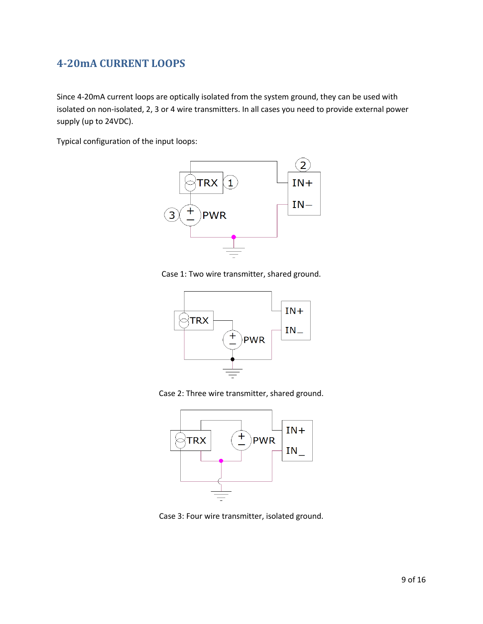# **4-20mA CURRENT LOOPS**

Since 4-20mA current loops are optically isolated from the system ground, they can be used with isolated on non-isolated, 2, 3 or 4 wire transmitters. In all cases you need to provide external power supply (up to 24VDC).

Typical configuration of the input loops:



Case 1: Two wire transmitter, shared ground.



Case 2: Three wire transmitter, shared ground.



Case 3: Four wire transmitter, isolated ground.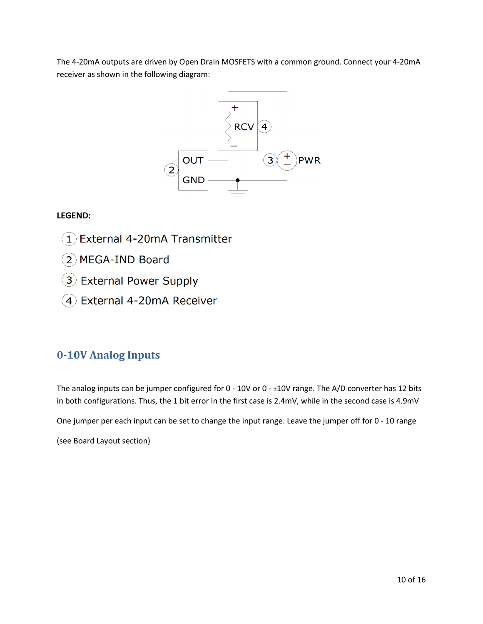The 4-20mA outputs are driven by Open Drain MOSFETS with a common ground. Connect your 4-20mA receiver as shown in the following diagram:



## **LEGEND:**

- External 4-20mA Transmitter  $\mathbf{1}$ )
- 2 MEGA-IND Board
- 3) External Power Supply
- 4) External 4-20mA Receiver

## **0-10V Analog Inputs**

The analog inputs can be jumper configured for  $0 - 10V$  or  $0 - \pm 10V$  range. The A/D converter has 12 bits in both configurations. Thus, the 1 bit error in the first case is 2.4mV, while in the second case is 4.9mV

One jumper per each input can be set to change the input range. Leave the jumper off for 0 - 10 range

(see Board Layout section)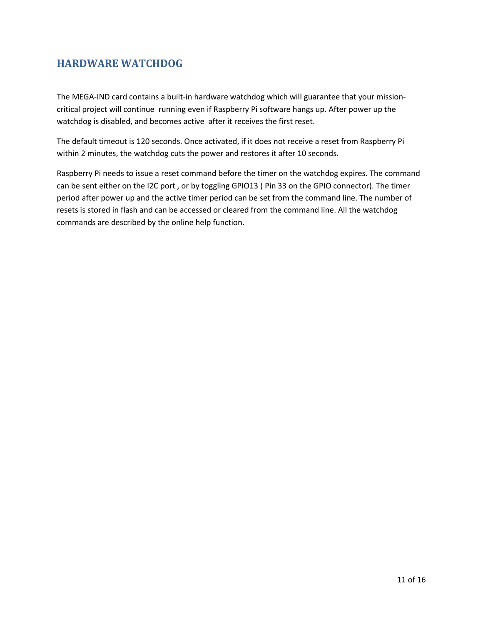# **HARDWARE WATCHDOG**

The MEGA-IND card contains a built-in hardware watchdog which will guarantee that your missioncritical project will continue running even if Raspberry Pi software hangs up. After power up the watchdog is disabled, and becomes active after it receives the first reset.

The default timeout is 120 seconds. Once activated, if it does not receive a reset from Raspberry Pi within 2 minutes, the watchdog cuts the power and restores it after 10 seconds.

Raspberry Pi needs to issue a reset command before the timer on the watchdog expires. The command can be sent either on the I2C port , or by toggling GPIO13 ( Pin 33 on the GPIO connector). The timer period after power up and the active timer period can be set from the command line. The number of resets is stored in flash and can be accessed or cleared from the command line. All the watchdog commands are described by the online help function.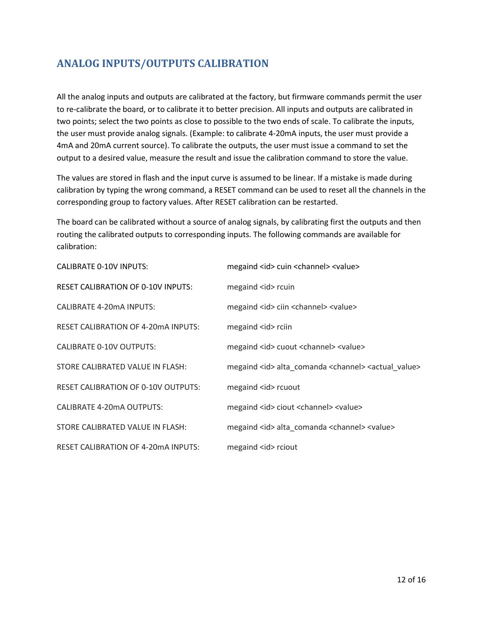# **ANALOG INPUTS/OUTPUTS CALIBRATION**

All the analog inputs and outputs are calibrated at the factory, but firmware commands permit the user to re-calibrate the board, or to calibrate it to better precision. All inputs and outputs are calibrated in two points; select the two points as close to possible to the two ends of scale. To calibrate the inputs, the user must provide analog signals. (Example: to calibrate 4-20mA inputs, the user must provide a 4mA and 20mA current source). To calibrate the outputs, the user must issue a command to set the output to a desired value, measure the result and issue the calibration command to store the value.

The values are stored in flash and the input curve is assumed to be linear. If a mistake is made during calibration by typing the wrong command, a RESET command can be used to reset all the channels in the corresponding group to factory values. After RESET calibration can be restarted.

The board can be calibrated without a source of analog signals, by calibrating first the outputs and then routing the calibrated outputs to corresponding inputs. The following commands are available for calibration:

| <b>CALIBRATE 0-10V INPUTS:</b>              | megaind <id> cuin <channel> <value></value></channel></id>                       |
|---------------------------------------------|----------------------------------------------------------------------------------|
| <b>RESET CALIBRATION OF 0-10V INPUTS:</b>   | megaind <id> rcuin</id>                                                          |
| <b>CALIBRATE 4-20mA INPUTS:</b>             | megaind <id> ciin <channel> <value></value></channel></id>                       |
| <b>RESET CALIBRATION OF 4-20 mA INPUTS:</b> | megaind <id> rciin</id>                                                          |
| <b>CALIBRATE 0-10V OUTPUTS:</b>             | megaind <id> cuout <channel> <value></value></channel></id>                      |
| STORE CALIBRATED VALUE IN FLASH:            | megaind <id> alta_comanda <channel> <actual_value></actual_value></channel></id> |
| <b>RESET CALIBRATION OF 0-10V OUTPUTS:</b>  | megaind <id> rcuout</id>                                                         |
| CALIBRATE 4-20mA OUTPUTS:                   | megaind <id> ciout <channel> <value></value></channel></id>                      |
| STORE CALIBRATED VALUE IN FLASH:            | megaind <id> alta comanda <channel> <value></value></channel></id>               |
| <b>RESET CALIBRATION OF 4-20 mA INPUTS:</b> | megaind <id> rciout</id>                                                         |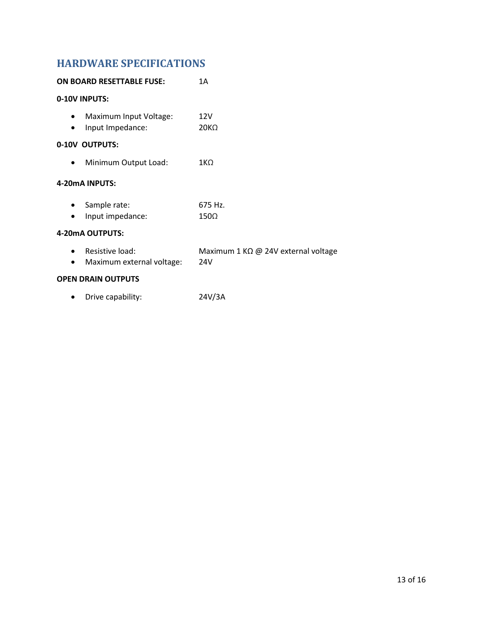# **HARDWARE SPECIFICATIONS**

| <b>ON BOARD RESETTABLE FUSE:</b>                  | 1 A                                        |
|---------------------------------------------------|--------------------------------------------|
| 0-10V INPUTS:                                     |                                            |
| Maximum Input Voltage:<br>Input Impedance:        | 12V<br>20K <sub>Ω</sub>                    |
| 0-10V OUTPUTS:                                    |                                            |
| Minimum Output Load:                              | $1K\Omega$                                 |
| 4-20mA INPUTS:                                    |                                            |
| Sample rate:<br>Input impedance:                  | 675 Hz.<br>$150\Omega$                     |
| 4-20mA OUTPUTS:                                   |                                            |
| Resistive load:<br>Maximum external voltage:<br>٠ | Maximum 1 KΩ @ 24V external voltage<br>24V |
| <b>OPEN DRAIN OUTPUTS</b>                         |                                            |
| Drive capability:                                 | 24V/3A                                     |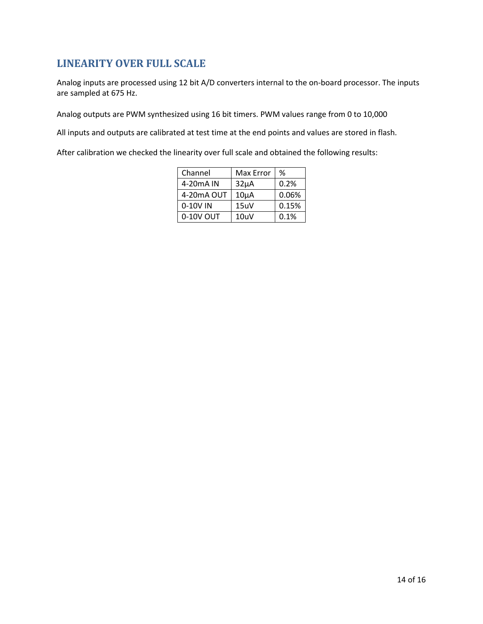# **LINEARITY OVER FULL SCALE**

Analog inputs are processed using 12 bit A/D converters internal to the on-board processor. The inputs are sampled at 675 Hz.

Analog outputs are PWM synthesized using 16 bit timers. PWM values range from 0 to 10,000

All inputs and outputs are calibrated at test time at the end points and values are stored in flash.

After calibration we checked the linearity over full scale and obtained the following results:

| Channel                | Max Error | %     |
|------------------------|-----------|-------|
| 4-20 <sub>m</sub> A IN | $32\mu A$ | 0.2%  |
| 4-20mA OUT             | $10\mu A$ | 0.06% |
| 0-10V IN               | 15uV      | 0.15% |
| 0-10V OUT              | 10uV      | 0.1%  |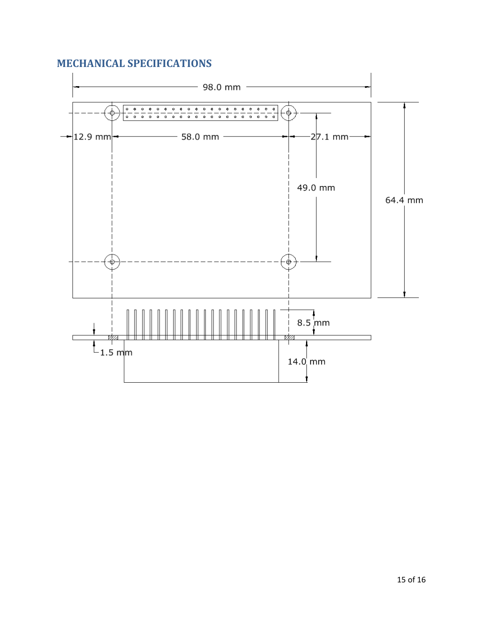## **MECHANICAL SPECIFICATIONS**